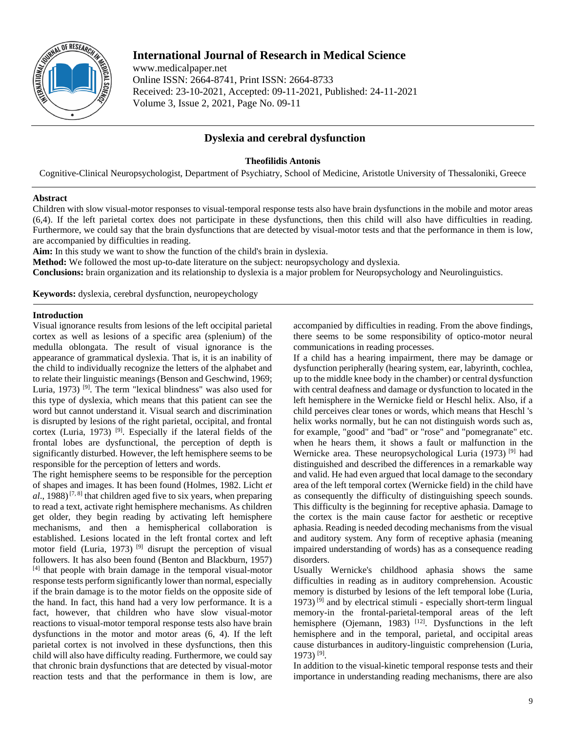

# **International Journal of Research in Medical Science**

www.medicalpaper.net Online ISSN: 2664-8741, Print ISSN: 2664-8733 Received: 23-10-2021, Accepted: 09-11-2021, Published: 24-11-2021 Volume 3, Issue 2, 2021, Page No. 09-11

## **Dyslexia and cerebral dysfunction**

#### **Theofilidis Antonis**

Cognitive-Clinical Neuropsychologist, Department of Psychiatry, School of Medicine, Aristotle University of Thessaloniki, Greece

#### **Abstract**

Children with slow visual-motor responses to visual-temporal response tests also have brain dysfunctions in the mobile and motor areas (6,4). If the left parietal cortex does not participate in these dysfunctions, then this child will also have difficulties in reading. Furthermore, we could say that the brain dysfunctions that are detected by visual-motor tests and that the performance in them is low, are accompanied by difficulties in reading.

**Aim:** In this study we want to show the function of the child's brain in dyslexia.

**Method:** We followed the most up-to-date literature on the subject: neuropsychology and dyslexia.

**Conclusions:** brain organization and its relationship to dyslexia is a major problem for Neuropsychology and Neurolinguistics.

**Keywords:** dyslexia, cerebral dysfunction, neuropeychology

### **Introduction**

Visual ignorance results from lesions of the left occipital parietal cortex as well as lesions of a specific area (splenium) of the medulla oblongata. The result of visual ignorance is the appearance of grammatical dyslexia. That is, it is an inability of the child to individually recognize the letters of the alphabet and to relate their linguistic meanings (Benson and Geschwind, 1969; Luria, 1973)<sup>[9]</sup>. The term "lexical blindness" was also used for this type of dyslexia, which means that this patient can see the word but cannot understand it. Visual search and discrimination is disrupted by lesions of the right parietal, occipital, and frontal cortex (Luria, 1973)<sup>[9]</sup>. Especially if the lateral fields of the frontal lobes are dysfunctional, the perception of depth is significantly disturbed. However, the left hemisphere seems to be responsible for the perception of letters and words.

The right hemisphere seems to be responsible for the perception of shapes and images. It has been found (Holmes, 1982. Licht *et*   $al$ , 1988)<sup>[7, 8]</sup> that children aged five to six years, when preparing to read a text, activate right hemisphere mechanisms. As children get older, they begin reading by activating left hemisphere mechanisms, and then a hemispherical collaboration is established. Lesions located in the left frontal cortex and left motor field (Luria, 1973)<sup>[9]</sup> disrupt the perception of visual followers. It has also been found (Benton and Blackburn, 1957) [4] that people with brain damage in the temporal visual-motor response tests perform significantly lower than normal, especially if the brain damage is to the motor fields on the opposite side of the hand. In fact, this hand had a very low performance. It is a fact, however, that children who have slow visual-motor reactions to visual-motor temporal response tests also have brain dysfunctions in the motor and motor areas (6, 4). If the left parietal cortex is not involved in these dysfunctions, then this child will also have difficulty reading. Furthermore, we could say that chronic brain dysfunctions that are detected by visual-motor reaction tests and that the performance in them is low, are

accompanied by difficulties in reading. From the above findings, there seems to be some responsibility of optico-motor neural communications in reading processes.

If a child has a hearing impairment, there may be damage or dysfunction peripherally (hearing system, ear, labyrinth, cochlea, up to the middle knee body in the chamber) or central dysfunction with central deafness and damage or dysfunction to located in the left hemisphere in the Wernicke field or Heschl helix. Also, if a child perceives clear tones or words, which means that Heschl 's helix works normally, but he can not distinguish words such as, for example, "good" and "bad" or "rose" and "pomegranate" etc. when he hears them, it shows a fault or malfunction in the Wernicke area. These neuropsychological Luria (1973)<sup>[9]</sup> had distinguished and described the differences in a remarkable way and valid. He had even argued that local damage to the secondary area of the left temporal cortex (Wernicke field) in the child have as consequently the difficulty of distinguishing speech sounds. This difficulty is the beginning for receptive aphasia. Damage to the cortex is the main cause factor for aesthetic or receptive aphasia. Reading is needed decoding mechanisms from the visual and auditory system. Any form of receptive aphasia (meaning impaired understanding of words) has as a consequence reading disorders.

Usually Wernicke's childhood aphasia shows the same difficulties in reading as in auditory comprehension. Acoustic memory is disturbed by lesions of the left temporal lobe (Luria, 1973)<sup>[9]</sup> and by electrical stimuli - especially short-term lingual memory-in the frontal-parietal-temporal areas of the left hemisphere (Ojemann, 1983)  $[12]$ . Dysfunctions in the left hemisphere and in the temporal, parietal, and occipital areas cause disturbances in auditory-linguistic comprehension (Luria, 1973) [9] .

In addition to the visual-kinetic temporal response tests and their importance in understanding reading mechanisms, there are also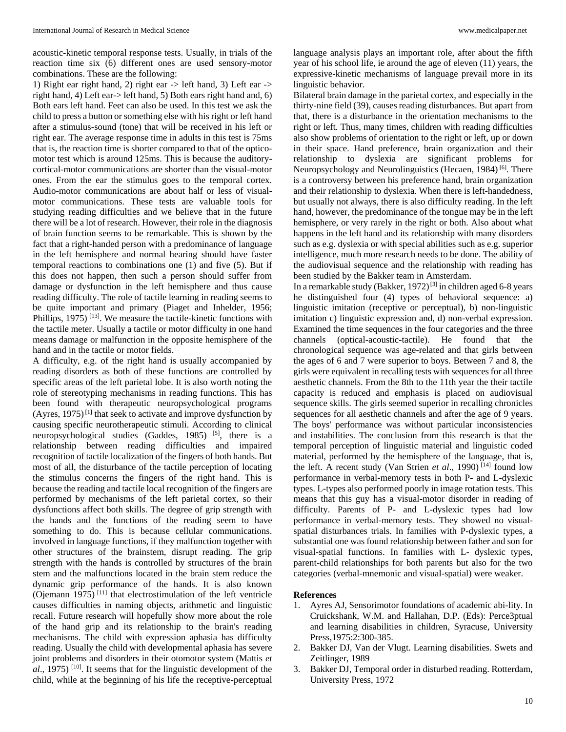acoustic-kinetic temporal response tests. Usually, in trials of the reaction time six (6) different ones are used sensory-motor combinations. These are the following:

1) Right ear right hand, 2) right ear -> left hand, 3) Left ear -> right hand, 4) Left ear-> left hand, 5) Both ears right hand and, 6) Both ears left hand. Feet can also be used. In this test we ask the child to press a button or something else with his right or left hand after a stimulus-sound (tone) that will be received in his left or right ear. The average response time in adults in this test is 75ms that is, the reaction time is shorter compared to that of the opticomotor test which is around 125ms. This is because the auditorycortical-motor communications are shorter than the visual-motor ones. From the ear the stimulus goes to the temporal cortex. Audio-motor communications are about half or less of visualmotor communications. These tests are valuable tools for studying reading difficulties and we believe that in the future there will be a lot of research. However, their role in the diagnosis of brain function seems to be remarkable. This is shown by the fact that a right-handed person with a predominance of language in the left hemisphere and normal hearing should have faster temporal reactions to combinations one (1) and five (5). But if this does not happen, then such a person should suffer from damage or dysfunction in the left hemisphere and thus cause reading difficulty. The role of tactile learning in reading seems to be quite important and primary (Piaget and Inhelder, 1956; Phillips, 1975)<sup>[13]</sup>. We measure the tactile-kinetic functions with the tactile meter. Usually a tactile or motor difficulty in one hand means damage or malfunction in the opposite hemisphere of the hand and in the tactile or motor fields.

A difficulty, e.g. of the right hand is usually accompanied by reading disorders as both of these functions are controlled by specific areas of the left parietal lobe. It is also worth noting the role of stereotyping mechanisms in reading functions. This has been found with therapeutic neuropsychological programs (Ayres,  $1975$ )<sup>[1]</sup> that seek to activate and improve dysfunction by causing specific neurotherapeutic stimuli. According to clinical neuropsychological studies (Gaddes, 1985)<sup>[5]</sup>, there is a relationship between reading difficulties and impaired recognition of tactile localization of the fingers of both hands. But most of all, the disturbance of the tactile perception of locating the stimulus concerns the fingers of the right hand. This is because the reading and tactile local recognition of the fingers are performed by mechanisms of the left parietal cortex, so their dysfunctions affect both skills. The degree of grip strength with the hands and the functions of the reading seem to have something to do. This is because cellular communications. involved in language functions, if they malfunction together with other structures of the brainstem, disrupt reading. The grip strength with the hands is controlled by structures of the brain stem and the malfunctions located in the brain stem reduce the dynamic grip performance of the hands. It is also known (Ojemann 1975)<sup>[11]</sup> that electrostimulation of the left ventricle causes difficulties in naming objects, arithmetic and linguistic recall. Future research will hopefully show more about the role of the hand grip and its relationship to the brain's reading mechanisms. The child with expression aphasia has difficulty reading. Usually the child with developmental aphasia has severe joint problems and disorders in their otomotor system (Mattis *et al*., 1975) [10] . It seems that for the linguistic development of the child, while at the beginning of his life the receptive-perceptual

language analysis plays an important role, after about the fifth year of his school life, ie around the age of eleven (11) years, the expressive-kinetic mechanisms of language prevail more in its linguistic behavior.

Bilateral brain damage in the parietal cortex, and especially in the thirty-nine field (39), causes reading disturbances. But apart from that, there is a disturbance in the orientation mechanisms to the right or left. Thus, many times, children with reading difficulties also show problems of orientation to the right or left, up or down in their space. Hand preference, brain organization and their relationship to dyslexia are significant problems for Neuropsychology and Neurolinguistics (Hecaen, 1984)<sup>[6]</sup>. There is a controversy between his preference hand, brain organization and their relationship to dyslexia. When there is left-handedness, but usually not always, there is also difficulty reading. In the left hand, however, the predominance of the tongue may be in the left hemisphere, or very rarely in the right or both. Also about what happens in the left hand and its relationship with many disorders such as e.g. dyslexia or with special abilities such as e.g. superior intelligence, much more research needs to be done. The ability of the audiovisual sequence and the relationship with reading has been studied by the Bakker team in Amsterdam.

In a remarkable study (Bakker,  $1972$ )<sup>[3]</sup> in children aged 6-8 years he distinguished four (4) types of behavioral sequence: a) linguistic imitation (receptive or perceptual), b) non-linguistic imitation c) linguistic expression and, d) non-verbal expression. Examined the time sequences in the four categories and the three channels (optical-acoustic-tactile). He found that the chronological sequence was age-related and that girls between the ages of 6 and 7 were superior to boys. Between 7 and 8, the girls were equivalent in recalling tests with sequences for all three aesthetic channels. From the 8th to the 11th year the their tactile capacity is reduced and emphasis is placed on audiovisual sequence skills. The girls seemed superior in recalling chronicles sequences for all aesthetic channels and after the age of 9 years. The boys' performance was without particular inconsistencies and instabilities. The conclusion from this research is that the temporal perception of linguistic material and linguistic coded material, performed by the hemisphere of the language, that is, the left. A recent study (Van Strien *et al.*, 1990)<sup>[14]</sup> found low performance in verbal-memory tests in both P- and L-dyslexic types. L-types also performed poorly in image rotation tests. This means that this guy has a visual-motor disorder in reading of difficulty. Parents of P- and L-dyslexic types had low performance in verbal-memory tests. They showed no visualspatial disturbances trials. In families with P-dyslexic types, a substantial one was found relationship between father and son for visual-spatial functions. In families with L- dyslexic types, parent-child relationships for both parents but also for the two categories (verbal-mnemonic and visual-spatial) were weaker.

#### **References**

- 1. Ayres AJ, Sensorimotor foundations of academic abi-lity. In Cruickshank, W.M. and Hallahan, D.P. (Eds): Perce3ptual and learning disabilities in children, Syracuse, University Press,1975:2:300-385.
- 2. Bakker DJ, Van der Vlugt. Learning disabilities. Swets and Zeitlinger, 1989
- 3. Bakker DJ, Temporal order in disturbed reading. Rotterdam, University Press, 1972